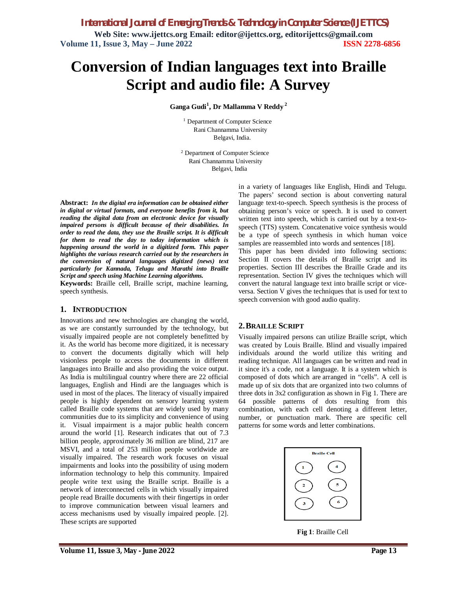*International Journal of Emerging Trends & Technology in Computer Science (IJETTCS)* **Web Site: www.ijettcs.org Email: editor@ijettcs.org, editorijettcs@gmail.com Volume 11, Issue 3, May – June 2022 ISSN 2278-6856**

# **Conversion of Indian languages text into Braille Script and audio file: A Survey**

**Ganga Gudi<sup>1</sup> , Dr Mallamma V Reddy <sup>2</sup>**

<sup>1</sup> Department of Computer Science Rani Channamma University Belgavi, India.

<sup>2</sup> Department of Computer Science Rani Channamma University Belgavi, India

**Abstract:** *In the digital era information can be obtained either in digital or virtual formats, and everyone benefits from it, but reading the digital data from an electronic device for visually impaired persons is difficult because of their disabilities. In order to read the data, they use the Braille script. It is difficult for them to read the day to today information which is happening around the world in a digitized form. This paper highlights the various research carried out by the researchers in the conversion of natural languages digitized (news) text particularly for Kannada, Telugu and Marathi into Braille Script and speech using Machine Learning algorithms.*

**Keywords:** Braille cell, Braille script, machine learning, speech synthesis.

#### **1. INTRODUCTION**

Innovations and new technologies are changing the world, as we are constantly surrounded by the technology, but visually impaired people are not completely benefitted by it. As the world has become more digitized, it is necessary to convert the documents digitally which will help visionless people to access the documents in different languages into Braille and also providing the voice output. As India is multilingual country where there are 22 official languages, English and Hindi are the languages which is used in most of the places. The literacy of visually impaired people is highly dependent on sensory learning system called Braille code systems that are widely used by many communities due to its simplicity and convenience of using it. Visual impairment is a major public health concern around the world [1]. Research indicates that out of 7.3 billion people, approximately 36 million are blind, 217 are MSVI, and a total of 253 million people worldwide are visually impaired. The research work focuses on visual impairments and looks into the possibility of using modern information technology to help this community. Impaired people write text using the Braille script. Braille is a network of interconnected cells in which visually impaired people read Braille documents with their fingertips in order to improve communication between visual learners and access mechanisms used by visually impaired people. [2]. These scripts are supported

in a variety of languages like English, Hindi and Telugu. The papers' second section is about converting natural language text-to-speech. Speech synthesis is the process of obtaining person's voice or speech. It is used to convert written text into speech, which is carried out by a text-tospeech (TTS) system. Concatenative voice synthesis would be a type of speech synthesis in which human voice samples are reassembled into words and sentences [18].

This paper has been divided into following sections: Section II covers the details of Braille script and its properties. Section III describes the Braille Grade and its representation. Section IV gives the techniques which will convert the natural language text into braille script or viceversa. Section V gives the techniques that is used for text to speech conversion with good audio quality.

#### **2.BRAILLE SCRIPT**

Visually impaired persons can utilize Braille script, which was created by Louis Braille. Blind and visually impaired individuals around the world utilize this writing and reading technique. All languages can be written and read in it since it's a code, not a language. It is a system which is composed of dots which are arranged in "cells". A cell is made up of six dots that are organized into two columns of three dots in 3x2 configuration as shown in Fig 1. There are 64 possible patterns of dots resulting from this combination, with each cell denoting a different letter, number, or punctuation mark. There are specific cell patterns for some words and letter combinations.



**Fig 1**: Braille Cell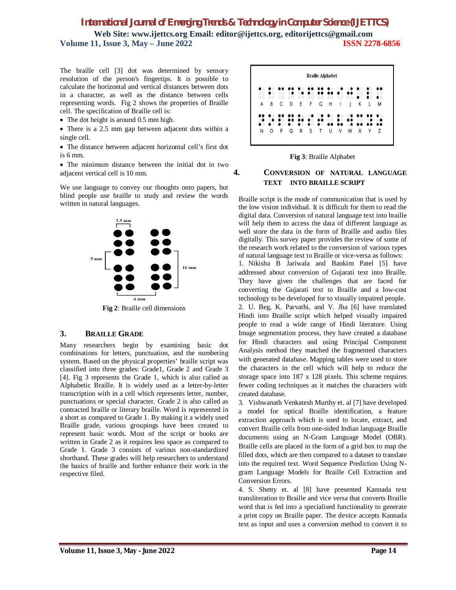**Web Site: www.ijettcs.org Email: editor@ijettcs.org, editorijettcs@gmail.com Volume 11, Issue 3, May – June 2022 ISSN 2278-6856**

The braille cell [3] dot was determined by sensory resolution of the person's fingertips. It is possible to calculate the horizontal and vertical distances between dots in a character, as well as the distance between cells representing words. Fig 2 shows the properties of Braille cell. The specification of Braille cell is:

- The dot height is around 0.5 mm high.
- There is a 2.5 mm gap between adjacent dots within a single cell.

 The distance between adjacent horizontal cell's first dot is 6 mm.

 The minimum distance between the initial dot in two adjacent vertical cell is 10 mm.

We use language to convey our thoughts onto papers, but blind people use braille to study and review the words written in natural languages.



**Fig 2**: Braille cell dimensions

#### **3. BRAILLE GRADE**

Many researchers begin by examining basic dot combinations for letters, punctuation, and the numbering system. Based on the physical properties' braille script was classified into three grades: Grade1, Grade 2 and Grade 3 [4]. Fig 3 represents the Grade 1, which is also called as Alphabetic Braille. It is widely used as a letter-by-letter transcription with in a cell which represents letter, number, punctuations or special character. Grade 2 is also called as contracted braille or literary braille. Word is represented in a short as compared to Grade 1. By making it a widely used Braille grade, various groupings have been created to represent basic words. Most of the script or books are written in Grade 2 as it requires less space as compared to Grade 1. Grade 3 consists of various non-standardized shorthand. These grades will help researchers to understand the basics of braille and further enhance their work in the respective filed.



**Fig 3**: Braille Alphabet

#### **4. CONVERSION OF NATURAL LANGUAGE TEXT INTO BRAILLE SCRIPT**

Braille script is the mode of communication that is used by the low vision individual. It is difficult for them to read the digital data. Conversion of natural language text into braille will help them to access the data of different language as well store the data in the form of Braille and audio files digitally. This survey paper provides the review of some of the research work related to the conversion of various types of natural language text to Braille or vice-versa as follows: 1. Nikisha B Jariwala and Bankim Patel [5] have addressed about conversion of Gujarati text into Braille. They have given the challenges that are faced for converting the Gujarati text to Braille and a low-cost technology to be developed for to visually impaired people. 2. U. Beg, K. Parvathi, and V. Jha [6] have translated Hindi into Braille script which helped visually impaired people to read a wide range of Hindi literature. Using Image segmentation process, they have created a database for Hindi characters and using Principal Component Analysis method they matched the fragmented characters

with generated database. Mapping tables were used to store the characters in the cell which will help to reduce the storage space into 187 x 128 pixels. This scheme requires fewer coding techniques as it matches the characters with created database.

3. Vishwanath Venkatesh Murthy et. al [7] have developed a model for optical Braille identification, a feature extraction approach which is used to locate, extract, and convert Braille cells from one-sided Indian language Braille documents using an N-Gram Language Model (OBR). Braille cells are placed in the form of a grid box to map the filled dots, which are then compared to a dataset to translate into the required text. Word Sequence Prediction Using Ngram Language Models for Braille Cell Extraction and Conversion Errors.

4. S. Shetty et. al [8] have presented Kannada text transliteration to Braille and vice versa that converts Braille word that is fed into a specialised functionality to generate a print copy on Braille paper. The device accepts Kannada text as input and uses a conversion method to convert it to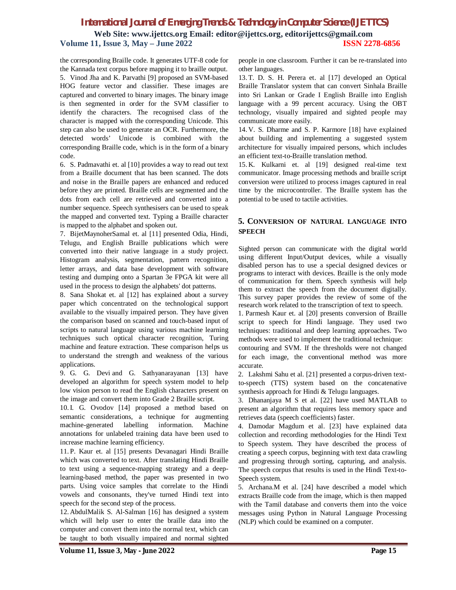# *International Journal of Emerging Trends & Technology in Computer Science (IJETTCS)* **Web Site: www.ijettcs.org Email: editor@ijettcs.org, editorijettcs@gmail.com**

## **Volume 11, Issue 3, May – June 2022 ISSN 2278-6856**

the corresponding Braille code. It generates UTF-8 code for the Kannada text corpus before mapping it to braille output. 5. Vinod Jha and K. Parvathi [9] proposed an SVM-based HOG feature vector and classifier. These images are captured and converted to binary images. The binary image is then segmented in order for the SVM classifier to identify the characters. The recognised class of the character is mapped with the corresponding Unicode. This step can also be used to generate an OCR. Furthermore, the detected words' Unicode is combined with the corresponding Braille code, which is in the form of a binary code.

6. S. Padmavathi et. al [10] provides a way to read out text from a Braille document that has been scanned. The dots and noise in the Braille papers are enhanced and reduced before they are printed. Braille cells are segmented and the dots from each cell are retrieved and converted into a number sequence. Speech synthesisers can be used to speak the mapped and converted text. Typing a Braille character is mapped to the alphabet and spoken out.

7. BijetMaynoherSamal et. al [11] presented Odia, Hindi, Telugu, and English Braille publications which were converted into their native language in a study project. Histogram analysis, segmentation, pattern recognition, letter arrays, and data base development with software testing and dumping onto a Spartan 3e FPGA kit were all used in the process to design the alphabets' dot patterns.

8. Sana Shokat et. al [12] has explained about a survey paper which concentrated on the technological support available to the visually impaired person. They have given the comparison based on scanned and touch-based input of scripts to natural language using various machine learning techniques such optical character recognition, Turing machine and feature extraction. These comparison helps us to understand the strength and weakness of the various applications.

9. G. G. Devi and G. Sathyanarayanan [13] have developed an algorithm for speech system model to help low vision person to read the English characters present on the image and convert them into Grade 2 Braille script.

10.I. G. Ovodov [14] proposed a method based on semantic considerations, a technique for augmenting machine-generated labelling information. Machine annotations for unlabeled training data have been used to increase machine learning efficiency.

11. P. Kaur et. al [15] presents Devanagari Hindi Braille which was converted to text. After translating Hindi Braille to text using a sequence-mapping strategy and a deeplearning-based method, the paper was presented in two parts. Using voice samples that correlate to the Hindi vowels and consonants, they've turned Hindi text into speech for the second step of the process.

12. AbdulMalik S. Al-Salman [16] has designed a system which will help user to enter the braille data into the computer and convert them into the normal text, which can be taught to both visually impaired and normal sighted

people in one classroom. Further it can be re-translated into other languages.

13. T. D. S. H. Perera et. al [17] developed an Optical Braille Translator system that can convert Sinhala Braille into Sri Lankan or Grade I English Braille into English language with a 99 percent accuracy. Using the OBT technology, visually impaired and sighted people may communicate more easily.

14. V. S. Dharme and S. P. Karmore [18] have explained about building and implementing a suggested system architecture for visually impaired persons, which includes an efficient text-to-Braille translation method.

15. K. Kulkarni et. al [19] designed real-time text communicator. Image processing methods and braille script conversion were utilized to process images captured in real time by the microcontroller. The Braille system has the potential to be used to tactile activities.

#### **5. CONVERSION OF NATURAL LANGUAGE INTO SPEECH**

Sighted person can communicate with the digital world using different Input/Output devices, while a visually disabled person has to use a special designed devices or programs to interact with devices. Braille is the only mode of communication for them. Speech synthesis will help them to extract the speech from the document digitally. This survey paper provides the review of some of the research work related to the transcription of text to speech.

1. Parmesh Kaur et. al [20] presents conversion of Braille script to speech for Hindi language. They used two techniques: traditional and deep learning approaches. Two methods were used to implement the traditional technique:

contouring and SVM. If the thresholds were not changed for each image, the conventional method was more accurate.

2. Lakshmi Sahu et al. [21] presented a corpus-driven textto-speech (TTS) system based on the concatenative synthesis approach for Hindi & Telugu languages.

3. Dhananjaya M S et al. [22] have used MATLAB to present an algorithm that requires less memory space and retrieves data (speech coefficients) faster.

4. Damodar Magdum et al. [23] have explained data collection and recording methodologies for the Hindi Text to Speech system. They have described the process of creating a speech corpus, beginning with text data crawling and progressing through sorting, capturing, and analysis. The speech corpus that results is used in the Hindi Text-to-Speech system.

5. Archana.M et al. [24] have described a model which extracts Braille code from the image, which is then mapped with the Tamil database and converts them into the voice messages using Python in Natural Language Processing (NLP) which could be examined on a computer.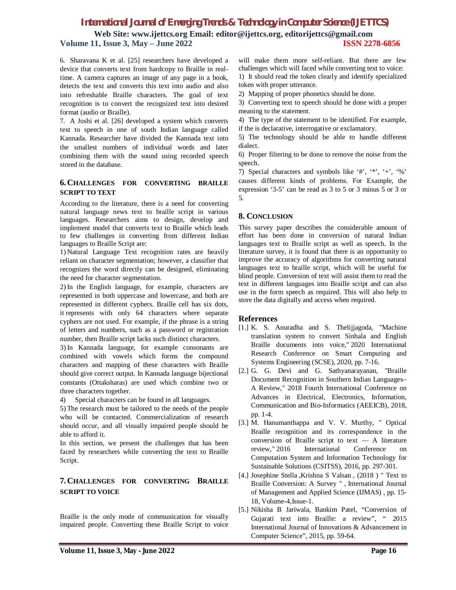**Web Site: www.ijettcs.org Email: editor@ijettcs.org, editorijettcs@gmail.com Volume 11, Issue 3, May – June 2022 ISSN 2278-6856**

6. Sharavana K et al. [25] researchers have developed a device that converts text from hardcopy to Braille in realtime. A camera captures an image of any page in a book, detects the text and converts this text into audio and also into refreshable Braille characters. The goal of text recognition is to convert the recognized text into desired format (audio or Braille).

7. A Joshi et al. [26] developed a system which converts text to speech in one of south Indian language called Kannada. Researcher have divided the Kannada text into the smallest numbers of individual words and later combining them with the sound using recorded speech stored in the database.

#### **6.CHALLENGES FOR CONVERTING BRAILLE SCRIPT TO TEXT**

According to the literature, there is a need for converting natural language news text to braille script in various languages. Researchers aims to design, develop and implement model that converts text to Braille which leads to few challenges in converting from different Indian languages to Braille Script are:

1) Natural Language Text recognition rates are heavily reliant on character segmentation; however, a classifier that recognizes the word directly can be designed, eliminating the need for character segmentation.

2) In the English language, for example, characters are represented in both uppercase and lowercase, and both are represented in different cyphers. Braille cell has six dots, it represents with only 64 characters where separate cyphers are not used. For example, if the phrase is a string of letters and numbers, such as a password or registration number, then Braille script lacks such distinct characters.

3) In Kannada language, for example consonants are combined with vowels which forms the compound characters and mapping of these characters with Braille should give correct output. In Kannada language bijectional constants (Ottaksharas) are used which combine two or three characters together.

4) Special characters can be found in all languages.

5) The research must be tailored to the needs of the people who will be contacted. Commercialization of research should occur, and all visually impaired people should be able to afford it.

In this section, we present the challenges that has been faced by researchers while converting the text to Braille Script.

## **7.CHALLENGES FOR CONVERTING BRAILLE SCRIPT TO VOICE**

Braille is the only mode of communication for visually impaired people. Converting these Braille Script to voice

will make them more self-reliant. But there are few challenges which will faced while converting text to voice: 1) It should read the token clearly and identify specialized token with proper utterance.

2) Mapping of proper phonetics should be done.

3) Converting text to speech should be done with a proper meaning to the statement.

4) The type of the statement to be identified. For example, if the is declarative, interrogative or exclamatory.

5) The technology should be able to handle different dialect.

6) Proper filtering to be done to remove the noise from the speech.

7) Special characters and symbols like '#', '\*', '+', '%' causes different kinds of problems. For Example, the expression '3-5' can be read as 3 to 5 or 3 minus 5 or 3 or 5.

## **8. CONCLUSION**

This survey paper describes the considerable amount of effort has been done in conversion of natural Indian languages text to Braille script as well as speech. In the literature survey, it is found that there is an opportunity to improve the accuracy of algorithms for converting natural languages text to braille script, which will be useful for blind people. Conversion of text will assist them to read the text in different languages into Braille script and can also use in the form speech as required. This will also help to store the data digitally and access when required.

#### **References**

- [1.] K. S. Anuradha and S. Thelijjagoda, "Machine translation system to convert Sinhala and English Braille documents into voice," 2020 International Research Conference on Smart Computing and Systems Engineering (SCSE), 2020, pp. 7-16.
- [2.] G. G. Devi and G. Sathyanarayanan, "Braille Document Recognition in Southern Indian Languages– A Review," 2018 Fourth International Conference on Advances in Electrical, Electronics, Information, Communication and Bio-Informatics (AEEICB), 2018, pp. 1-4.
- [3.] M. Hanumanthappa and V. V. Murthy, " Optical Braille recognition and its correspondence in the conversion of Braille script to text — A literature review," 2016 International Conference on Computation System and Information Technology for Sustainable Solutions (CSITSS), 2016, pp. 297-301.
- [4.] Josephine Stella ,Krishna S Valsan , (2018 ) " Text to Braille Conversion: A Survey " , International Journal of Management and Applied Science (IJMAS) , pp. 15- 18, Volume-4,Issue-1.
- [5.] Nikisha B Jariwala, Bankim Patel, "Conversion of Gujarati text into Braille: a review", " 2015 International Journal of Innovations & Advancement in Computer Science", 2015, pp. 59-64.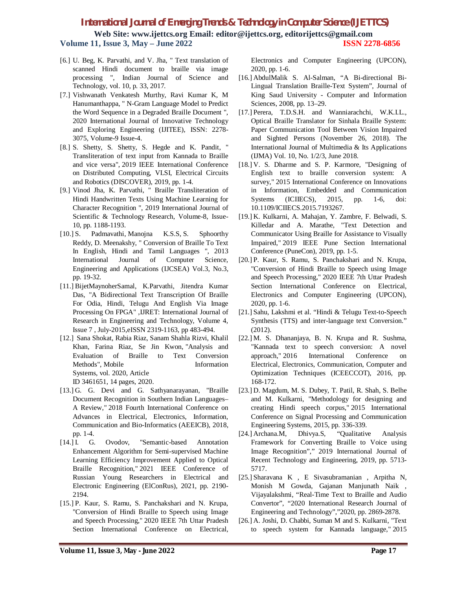**Web Site: www.ijettcs.org Email: editor@ijettcs.org, editorijettcs@gmail.com Volume 11, Issue 3, May – June 2022 ISSN 2278-6856**

- [6.] U. Beg, K. Parvathi, and V. Jha, " Text translation of scanned Hindi document to braille via image processing ", Indian Journal of Science and Technology, vol. 10, p. 33, 2017.
- [7.] Vishwanath Venkatesh Murthy, Ravi Kumar K, M Hanumanthappa, " N-Gram Language Model to Predict the Word Sequence in a Degraded Braille Document ", 2020 International Journal of Innovative Technology and Exploring Engineering (IJITEE), ISSN: 2278- 3075, Volume-9 Issue-4.
- [8.] S. Shetty, S. Shetty, S. Hegde and K. Pandit, " Transliteration of text input from Kannada to Braille and vice versa", 2019 IEEE International Conference on Distributed Computing, VLSI, Electrical Circuits and Robotics (DISCOVER), 2019, pp. 1-4.
- [9.] Vinod Jha, K. Parvathi, " Braille Transliteration of Hindi Handwritten Texts Using Machine Learning for Character Recognition ", 2019 International Journal of Scientific & Technology Research, Volume-8, Issue-10, pp. 1188-1193.
- [10.] S. Padmavathi, Manojna K.S.S, S. Sphoorthy Reddy, D. Meenakshy, " Conversion of Braille To Text In English, Hindi and Tamil Languages ", 2013 International Journal of Computer Science, Engineering and Applications (IJCSEA) Vol.3, No.3, pp. 19-32.
- [11.] BijetMaynoherSamal, K.Parvathi, Jitendra Kumar Das, "A Bidirectional Text Transcription Of Braille For Odia, Hindi, Telugu And English Via Image Processing On FPGA" ,IJRET: International Journal of Research in Engineering and Technology, Volume 4, Issue 7 , July-2015,eISSN 2319-1163, pp 483-494.
- [12.] Sana Shokat, Rabia Riaz, Sanam Shahla Rizvi, Khalil Khan, Farina Riaz, Se Jin Kwon, "Analysis and Evaluation of Braille to Text Conversion Methods", Mobile Information Systems, vol. 2020, Article ID 3461651, 14 pages, 2020.
- [13.] G. G. Devi and G. Sathyanarayanan, "Braille" Document Recognition in Southern Indian Languages– A Review," 2018 Fourth International Conference on Advances in Electrical, Electronics, Information, Communication and Bio-Informatics (AEEICB), 2018, pp. 1-4.
- [14.] I. G. Ovodov, "Semantic-based Annotation Enhancement Algorithm for Semi-supervised Machine Learning Efficiency Improvement Applied to Optical Braille Recognition," 2021 IEEE Conference of Russian Young Researchers in Electrical and Electronic Engineering (ElConRus), 2021, pp. 2190- 2194.
- [15.] P. Kaur, S. Ramu, S. Panchakshari and N. Krupa, "Conversion of Hindi Braille to Speech using Image and Speech Processing," 2020 IEEE 7th Uttar Pradesh Section International Conference on Electrical,

Electronics and Computer Engineering (UPCON), 2020, pp. 1-6.

- [16.] AbdulMalik S. Al-Salman, "A Bi-directional Bi-Lingual Translation Braille-Text System", Journal of King Saud University - Computer and Information Sciences, 2008, pp. 13–29.
- [17.] Perera, T.D.S.H. and Wanniarachchi, W.K.I.L., Optical Braille Translator for Sinhala Braille System: Paper Communication Tool Between Vision Impaired and Sighted Persons (November 26, 2018). The International Journal of Multimedia & Its Applications (IJMA) Vol. 10, No. 1/2/3, June 2018.
- [18.] V. S. Dharme and S. P. Karmore, "Designing of English text to braille conversion system: A survey," 2015 International Conference on Innovations in Information, Embedded and Communication Systems (ICIIECS), 2015, pp. 1-6, doi: 10.1109/ICIIECS.2015.7193267.
- [19.] K. Kulkarni, A. Mahajan, Y. Zambre, F. Belwadi, S. Killedar and A. Marathe, "Text Detection and Communicator Using Braille for Assistance to Visually Impaired," 2019 IEEE Pune Section International Conference (PuneCon), 2019, pp. 1-5.
- [20.] P. Kaur, S. Ramu, S. Panchakshari and N. Krupa, "Conversion of Hindi Braille to Speech using Image and Speech Processing," 2020 IEEE 7th Uttar Pradesh Section International Conference on Electrical, Electronics and Computer Engineering (UPCON), 2020, pp. 1-6.
- [21.] Sahu, Lakshmi et al. "Hindi & Telugu Text-to-Speech Synthesis (TTS) and inter-language text Conversion." (2012).
- [22.] M. S. Dhananjaya, B. N. Krupa and R. Sushma, "Kannada text to speech conversion: A novel approach," 2016 International Conference Electrical, Electronics, Communication, Computer and Optimization Techniques (ICEECCOT), 2016, pp. 168-172.
- [23.] D. Magdum, M. S. Dubey, T. Patil, R. Shah, S. Belhe and M. Kulkarni, "Methodology for designing and creating Hindi speech corpus," 2015 International Conference on Signal Processing and Communication Engineering Systems, 2015, pp. 336-339.
- [24.] Archana.M, Dhivya.S, "Qualitative Analysis Framework for Converting Braille to Voice using Image Recognition"," 2019 International Journal of Recent Technology and Engineering, 2019, pp. 5713- 5717.
- [25.] Sharavana K , E Sivasubramanian , Arpitha N, Monish M Gowda, Gajanan Manjunath Naik , Vijayalakshmi, "Real-Time Text to Braille and Audio Convertor", "2020 International Research Journal of Engineering and Technology","2020, pp. 2869-2878.
- [26.] A. Joshi, D. Chabbi, Suman M and S. Kulkarni, "Text to speech system for Kannada language," 2015